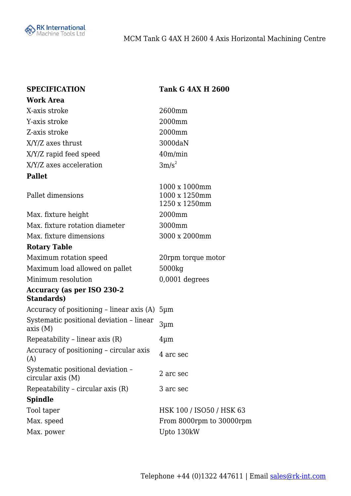

| <b>SPECIFICATION</b>                                    | <b>Tank G 4AX H 2600</b>                        |
|---------------------------------------------------------|-------------------------------------------------|
| <b>Work Area</b>                                        |                                                 |
| X-axis stroke                                           | 2600mm                                          |
| Y-axis stroke                                           | 2000mm                                          |
| Z-axis stroke                                           | 2000mm                                          |
| X/Y/Z axes thrust                                       | 3000daN                                         |
| X/Y/Z rapid feed speed                                  | 40m/min                                         |
| X/Y/Z axes acceleration                                 | $3m/s^2$                                        |
| <b>Pallet</b>                                           |                                                 |
| Pallet dimensions                                       | 1000 x 1000mm<br>1000 x 1250mm<br>1250 x 1250mm |
| Max. fixture height                                     | 2000mm                                          |
| Max. fixture rotation diameter                          | 3000mm                                          |
| Max. fixture dimensions                                 | 3000 x 2000mm                                   |
| <b>Rotary Table</b>                                     |                                                 |
| Maximum rotation speed                                  | 20rpm torque motor                              |
| Maximum load allowed on pallet                          | 5000kg                                          |
| Minimum resolution                                      | $0,0001$ degrees                                |
| <b>Accuracy (as per ISO 230-2</b><br><b>Standards</b> ) |                                                 |
| Accuracy of positioning – linear axis (A)               | $5 \mu m$                                       |
| Systematic positional deviation - linear<br>axis (M)    | 3 <sub>µm</sub>                                 |
| Repeatability - linear axis (R)                         | $4 \mu m$                                       |
| Accuracy of positioning - circular axis<br>(A)          | 4 arc sec                                       |
| Systematic positional deviation -<br>circular axis (M)  | 2 arc sec                                       |
| Repeatability - circular axis (R)                       | 3 arc sec                                       |
| <b>Spindle</b>                                          |                                                 |
| Tool taper                                              | HSK 100 / ISO50 / HSK 63                        |
| Max. speed                                              | From 8000rpm to 30000rpm                        |
| Max. power                                              | Upto 130kW                                      |